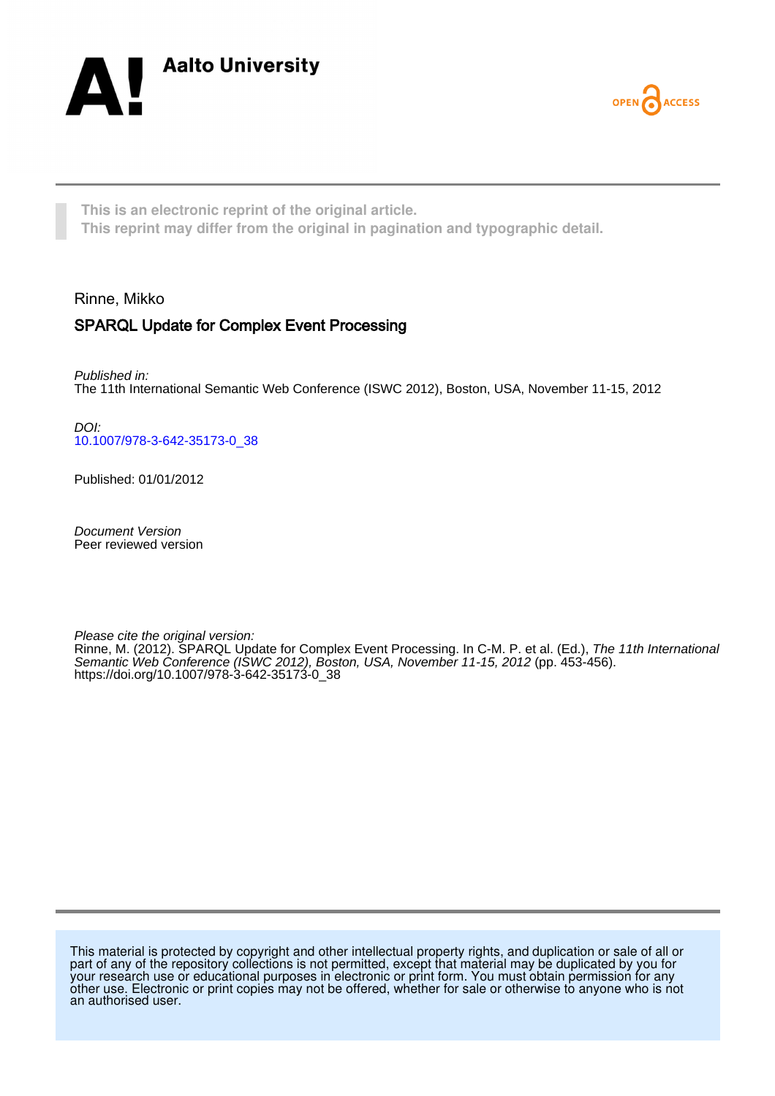



**This is an electronic reprint of the original article. This reprint may differ from the original in pagination and typographic detail.**

Rinne, Mikko

# SPARQL Update for Complex Event Processing

Published in: The 11th International Semantic Web Conference (ISWC 2012), Boston, USA, November 11-15, 2012

DOI: [10.1007/978-3-642-35173-0\\_38](https://doi.org/10.1007/978-3-642-35173-0_38)

Published: 01/01/2012

Document Version Peer reviewed version

Please cite the original version:

Rinne, M. (2012). SPARQL Update for Complex Event Processing. In C-M. P. et al. (Ed.), The 11th International Semantic Web Conference (ISWC 2012), Boston, USA, November 11-15, 2012 (pp. 453-456). [https://doi.org/10.1007/978-3-642-35173-0\\_38](https://doi.org/10.1007/978-3-642-35173-0_38)

This material is protected by copyright and other intellectual property rights, and duplication or sale of all or part of any of the repository collections is not permitted, except that material may be duplicated by you for your research use or educational purposes in electronic or print form. You must obtain permission for any other use. Electronic or print copies may not be offered, whether for sale or otherwise to anyone who is not an authorised user.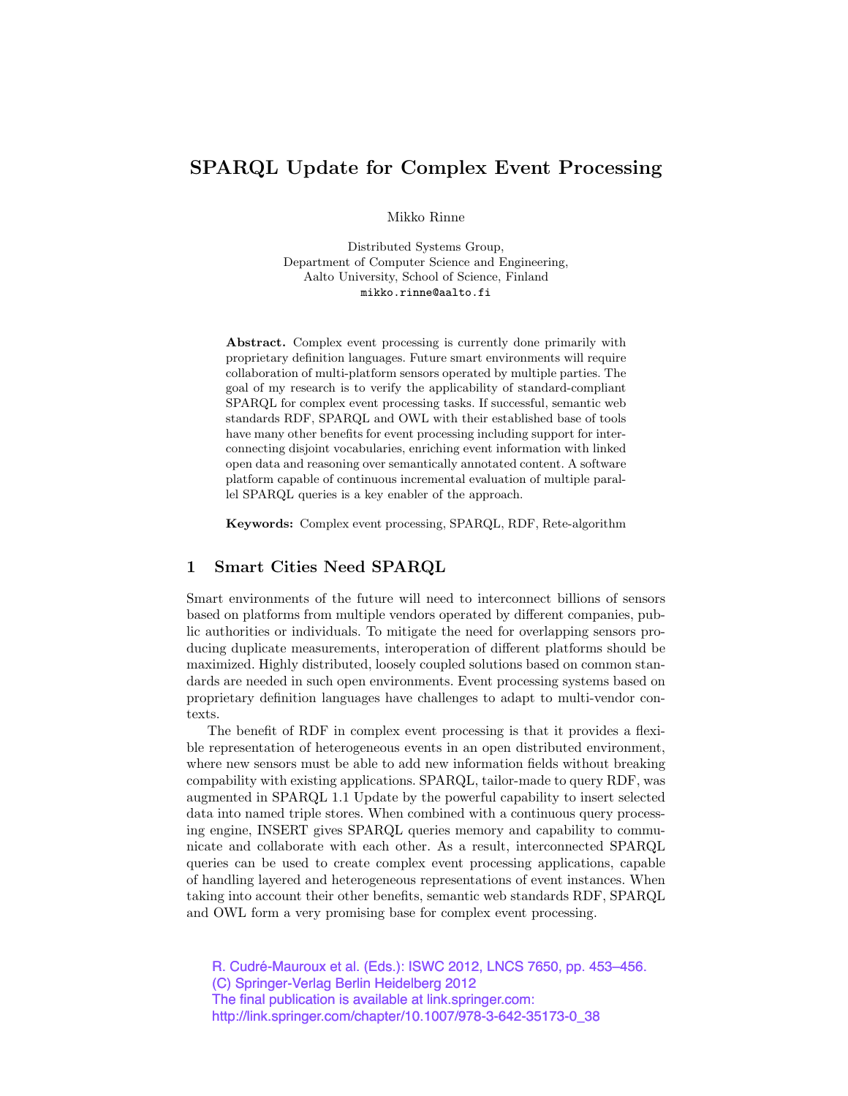# SPARQL Update for Complex Event Processing

Mikko Rinne

Distributed Systems Group, Department of Computer Science and Engineering, Aalto University, School of Science, Finland mikko.rinne@aalto.fi

Abstract. Complex event processing is currently done primarily with proprietary definition languages. Future smart environments will require collaboration of multi-platform sensors operated by multiple parties. The goal of my research is to verify the applicability of standard-compliant SPARQL for complex event processing tasks. If successful, semantic web standards RDF, SPARQL and OWL with their established base of tools have many other benefits for event processing including support for interconnecting disjoint vocabularies, enriching event information with linked open data and reasoning over semantically annotated content. A software platform capable of continuous incremental evaluation of multiple parallel SPARQL queries is a key enabler of the approach.

Keywords: Complex event processing, SPARQL, RDF, Rete-algorithm

### 1 Smart Cities Need SPARQL

Smart environments of the future will need to interconnect billions of sensors based on platforms from multiple vendors operated by different companies, public authorities or individuals. To mitigate the need for overlapping sensors producing duplicate measurements, interoperation of different platforms should be maximized. Highly distributed, loosely coupled solutions based on common standards are needed in such open environments. Event processing systems based on proprietary definition languages have challenges to adapt to multi-vendor contexts.

The benefit of RDF in complex event processing is that it provides a flexible representation of heterogeneous events in an open distributed environment, where new sensors must be able to add new information fields without breaking compability with existing applications. SPARQL, tailor-made to query RDF, was augmented in SPARQL 1.1 Update by the powerful capability to insert selected data into named triple stores. When combined with a continuous query processing engine, INSERT gives SPARQL queries memory and capability to communicate and collaborate with each other. As a result, interconnected SPARQL queries can be used to create complex event processing applications, capable of handling layered and heterogeneous representations of event instances. When taking into account their other benefits, semantic web standards RDF, SPARQL and OWL form a very promising base for complex event processing.

R. Cudré-Mauroux et al. (Eds.): ISWC 2012, LNCS 7650, pp. 453–456. (C) Springer-Verlag Berlin Heidelberg 2012 The final publication is available at link.springer.com: http://link.springer.com/chapter/10.1007/978-3-642-35173-0\_38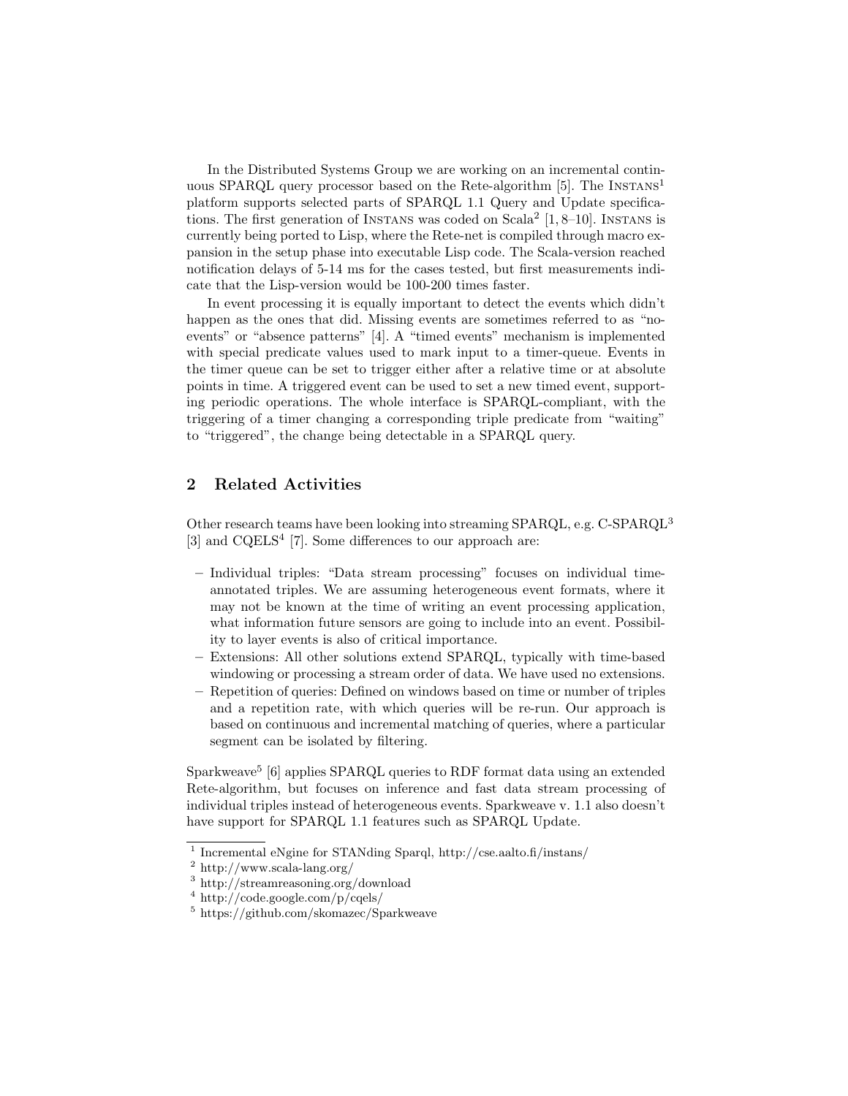In the Distributed Systems Group we are working on an incremental continuous SPARQL query processor based on the Rete-algorithm [5]. The INSTANS<sup>1</sup> platform supports selected parts of SPARQL 1.1 Query and Update specifications. The first generation of INSTANS was coded on  $Scala<sup>2</sup>$  [1, 8–10]. INSTANS is currently being ported to Lisp, where the Rete-net is compiled through macro expansion in the setup phase into executable Lisp code. The Scala-version reached notification delays of 5-14 ms for the cases tested, but first measurements indicate that the Lisp-version would be 100-200 times faster.

In event processing it is equally important to detect the events which didn't happen as the ones that did. Missing events are sometimes referred to as "noevents" or "absence patterns" [4]. A "timed events" mechanism is implemented with special predicate values used to mark input to a timer-queue. Events in the timer queue can be set to trigger either after a relative time or at absolute points in time. A triggered event can be used to set a new timed event, supporting periodic operations. The whole interface is SPARQL-compliant, with the triggering of a timer changing a corresponding triple predicate from "waiting" to "triggered", the change being detectable in a SPARQL query.

## 2 Related Activities

Other research teams have been looking into streaming SPARQL, e.g. C-SPARQL<sup>3</sup>  $[3]$  and CQELS<sup>4</sup>  $[7]$ . Some differences to our approach are:

- Individual triples: "Data stream processing" focuses on individual timeannotated triples. We are assuming heterogeneous event formats, where it may not be known at the time of writing an event processing application, what information future sensors are going to include into an event. Possibility to layer events is also of critical importance.
- Extensions: All other solutions extend SPARQL, typically with time-based windowing or processing a stream order of data. We have used no extensions.
- Repetition of queries: Defined on windows based on time or number of triples and a repetition rate, with which queries will be re-run. Our approach is based on continuous and incremental matching of queries, where a particular segment can be isolated by filtering.

Sparkweave<sup>5</sup> [6] applies SPARQL queries to RDF format data using an extended Rete-algorithm, but focuses on inference and fast data stream processing of individual triples instead of heterogeneous events. Sparkweave v. 1.1 also doesn't have support for SPARQL 1.1 features such as SPARQL Update.

<sup>&</sup>lt;sup>1</sup> Incremental eNgine for STANding Sparql, http://cse.aalto.fi/instans/

<sup>2</sup> http://www.scala-lang.org/

<sup>3</sup> http://streamreasoning.org/download

<sup>4</sup> http://code.google.com/p/cqels/

<sup>5</sup> https://github.com/skomazec/Sparkweave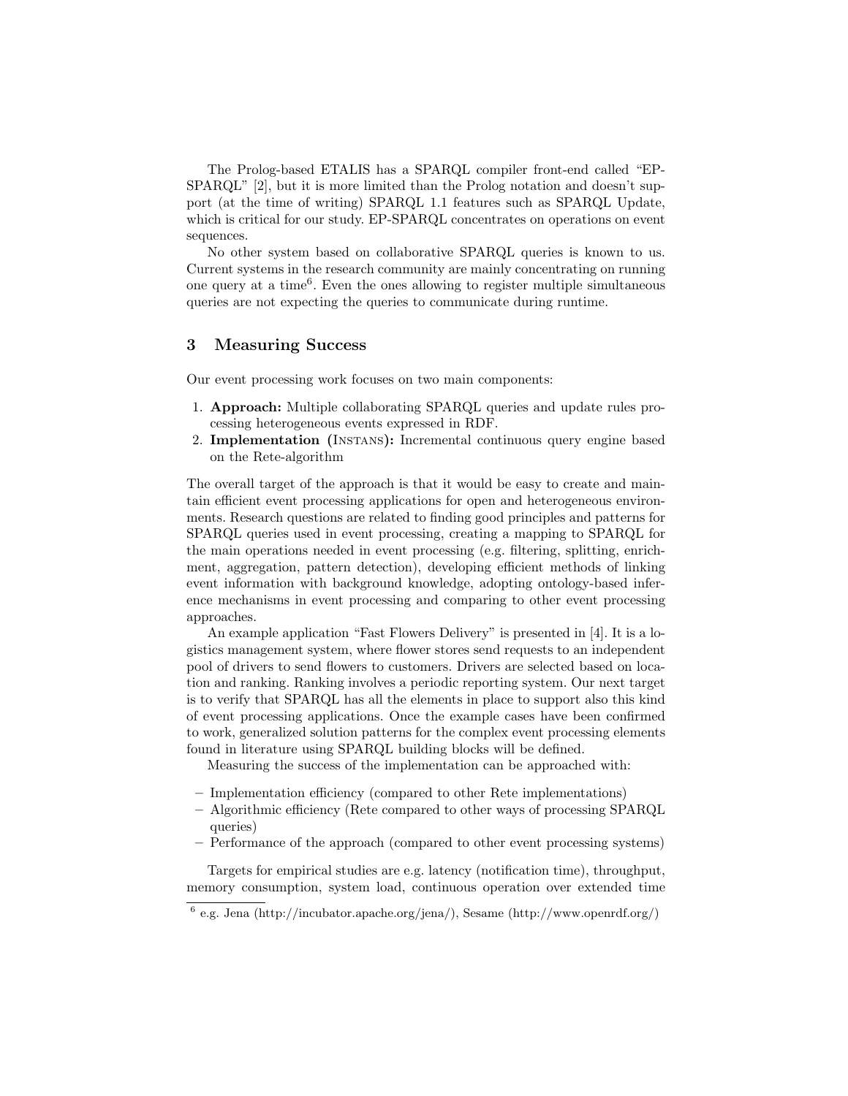The Prolog-based ETALIS has a SPARQL compiler front-end called "EP-SPARQL" [2], but it is more limited than the Prolog notation and doesn't support (at the time of writing) SPARQL 1.1 features such as SPARQL Update, which is critical for our study. EP-SPARQL concentrates on operations on event sequences.

No other system based on collaborative SPARQL queries is known to us. Current systems in the research community are mainly concentrating on running one query at a time<sup>6</sup>. Even the ones allowing to register multiple simultaneous queries are not expecting the queries to communicate during runtime.

## 3 Measuring Success

Our event processing work focuses on two main components:

- 1. Approach: Multiple collaborating SPARQL queries and update rules processing heterogeneous events expressed in RDF.
- 2. Implementation (Instans): Incremental continuous query engine based on the Rete-algorithm

The overall target of the approach is that it would be easy to create and maintain efficient event processing applications for open and heterogeneous environments. Research questions are related to finding good principles and patterns for SPARQL queries used in event processing, creating a mapping to SPARQL for the main operations needed in event processing (e.g. filtering, splitting, enrichment, aggregation, pattern detection), developing efficient methods of linking event information with background knowledge, adopting ontology-based inference mechanisms in event processing and comparing to other event processing approaches.

An example application "Fast Flowers Delivery" is presented in [4]. It is a logistics management system, where flower stores send requests to an independent pool of drivers to send flowers to customers. Drivers are selected based on location and ranking. Ranking involves a periodic reporting system. Our next target is to verify that SPARQL has all the elements in place to support also this kind of event processing applications. Once the example cases have been confirmed to work, generalized solution patterns for the complex event processing elements found in literature using SPARQL building blocks will be defined.

Measuring the success of the implementation can be approached with:

- Implementation efficiency (compared to other Rete implementations)
- $-$  Algorithmic efficiency (Rete compared to other ways of processing SPARQL queries)
- Performance of the approach (compared to other event processing systems)

Targets for empirical studies are e.g. latency (notification time), throughput, memory consumption, system load, continuous operation over extended time

 $6$  e.g. Jena (http://incubator.apache.org/jena/), Sesame (http://www.openrdf.org/)